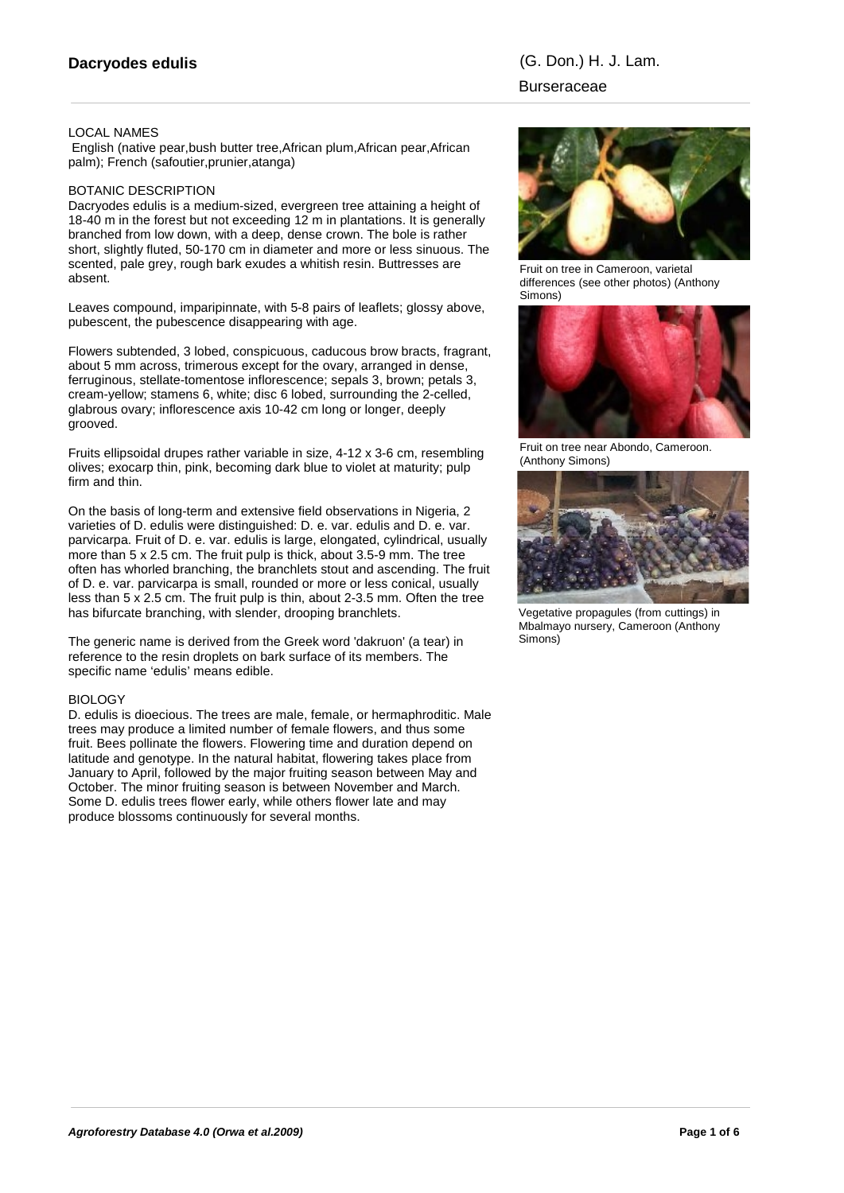## LOCAL NAMES

 English (native pear,bush butter tree,African plum,African pear,African palm); French (safoutier,prunier,atanga)

#### BOTANIC DESCRIPTION

Dacryodes edulis is a medium-sized, evergreen tree attaining a height of 18-40 m in the forest but not exceeding 12 m in plantations. It is generally branched from low down, with a deep, dense crown. The bole is rather short, slightly fluted, 50-170 cm in diameter and more or less sinuous. The scented, pale grey, rough bark exudes a whitish resin. Buttresses are absent.

Leaves compound, imparipinnate, with 5-8 pairs of leaflets; glossy above, pubescent, the pubescence disappearing with age.

Flowers subtended, 3 lobed, conspicuous, caducous brow bracts, fragrant, about 5 mm across, trimerous except for the ovary, arranged in dense, ferruginous, stellate-tomentose inflorescence; sepals 3, brown; petals 3, cream-yellow; stamens 6, white; disc 6 lobed, surrounding the 2-celled, glabrous ovary; inflorescence axis 10-42 cm long or longer, deeply grooved.

Fruits ellipsoidal drupes rather variable in size, 4-12 x 3-6 cm, resembling olives; exocarp thin, pink, becoming dark blue to violet at maturity; pulp firm and thin.

On the basis of long-term and extensive field observations in Nigeria, 2 varieties of D. edulis were distinguished: D. e. var. edulis and D. e. var. parvicarpa. Fruit of D. e. var. edulis is large, elongated, cylindrical, usually more than 5 x 2.5 cm. The fruit pulp is thick, about 3.5-9 mm. The tree often has whorled branching, the branchlets stout and ascending. The fruit of D. e. var. parvicarpa is small, rounded or more or less conical, usually less than 5 x 2.5 cm. The fruit pulp is thin, about 2-3.5 mm. Often the tree has bifurcate branching, with slender, drooping branchlets.

The generic name is derived from the Greek word 'dakruon' (a tear) in reference to the resin droplets on bark surface of its members. The specific name 'edulis' means edible.

## BIOLOGY

D. edulis is dioecious. The trees are male, female, or hermaphroditic. Male trees may produce a limited number of female flowers, and thus some fruit. Bees pollinate the flowers. Flowering time and duration depend on latitude and genotype. In the natural habitat, flowering takes place from January to April, followed by the major fruiting season between May and October. The minor fruiting season is between November and March. Some D. edulis trees flower early, while others flower late and may produce blossoms continuously for several months.



Fruit on tree in Cameroon, varietal differences (see other photos) (Anthony Simons)



Fruit on tree near Abondo, Cameroon. (Anthony Simons)



Vegetative propagules (from cuttings) in Mbalmayo nursery, Cameroon (Anthony Simons)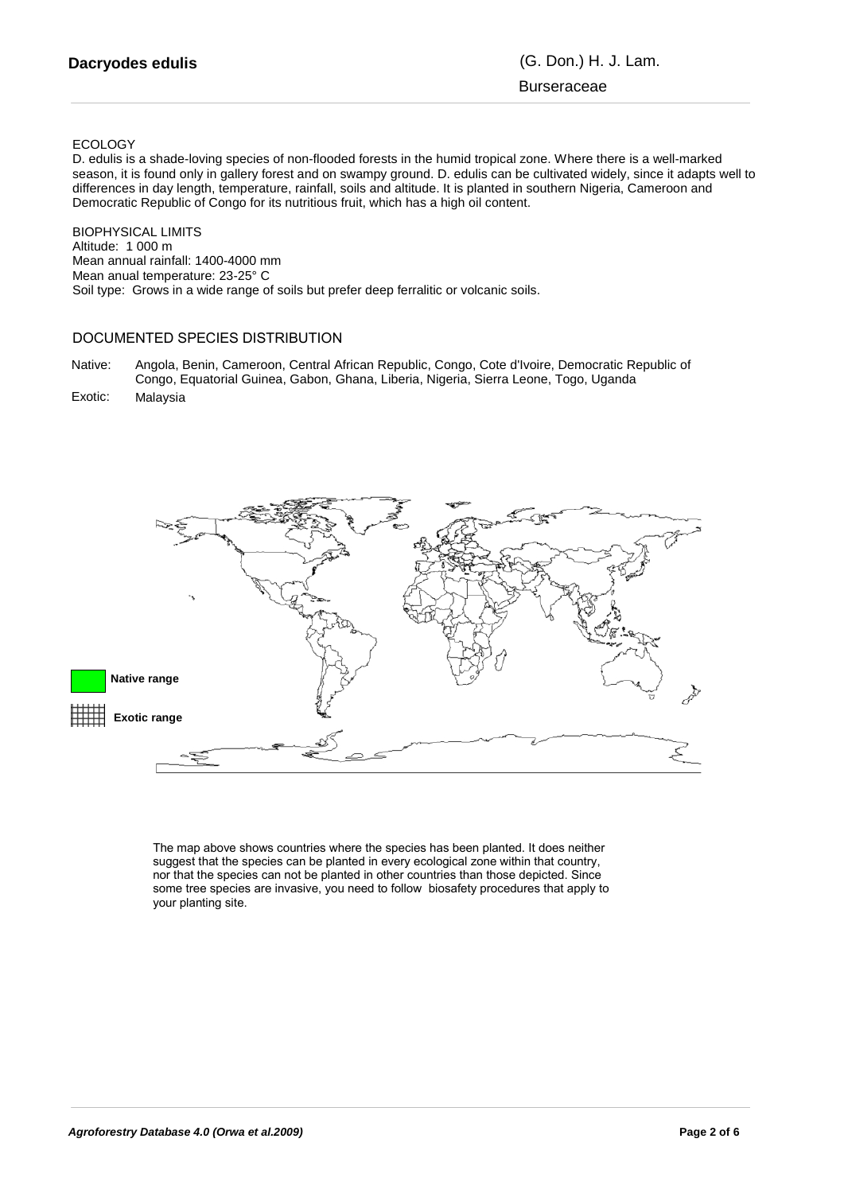# Burseraceae

#### ECOLOGY

D. edulis is a shade-loving species of non-flooded forests in the humid tropical zone. Where there is a well-marked season, it is found only in gallery forest and on swampy ground. D. edulis can be cultivated widely, since it adapts well to differences in day length, temperature, rainfall, soils and altitude. It is planted in southern Nigeria, Cameroon and Democratic Republic of Congo for its nutritious fruit, which has a high oil content.

BIOPHYSICAL LIMITS Altitude: 1 000 m Mean annual rainfall: 1400-4000 mm Mean anual temperature: 23-25° C Soil type: Grows in a wide range of soils but prefer deep ferralitic or volcanic soils.

# DOCUMENTED SPECIES DISTRIBUTION

- Angola, Benin, Cameroon, Central African Republic, Congo, Cote d'Ivoire, Democratic Republic of Native: Congo, Equatorial Guinea, Gabon, Ghana, Liberia, Nigeria, Sierra Leone, Togo, Uganda
- Exotic: Malaysia



The map above shows countries where the species has been planted. It does neither suggest that the species can be planted in every ecological zone within that country, nor that the species can not be planted in other countries than those depicted. Since some tree species are invasive, you need to follow biosafety procedures that apply to your planting site.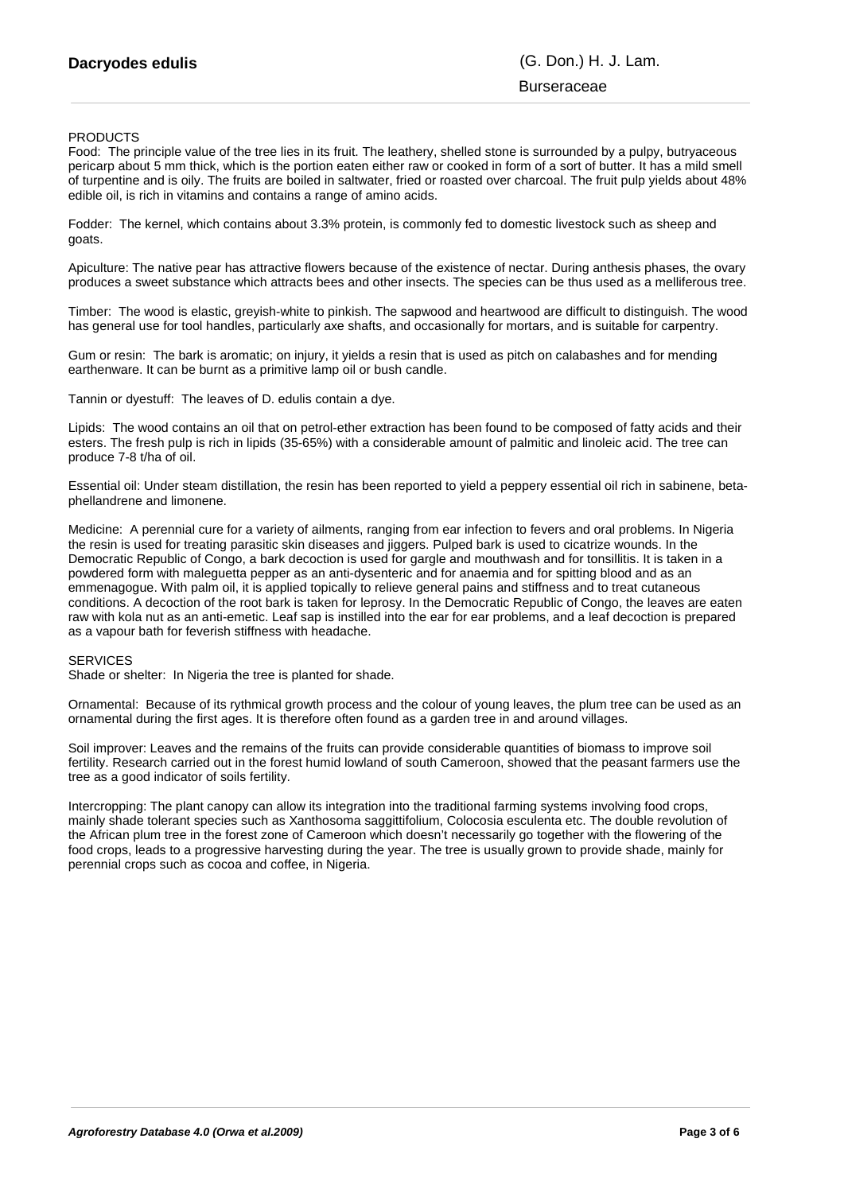# Burseraceae

#### **PRODUCTS**

Food: The principle value of the tree lies in its fruit. The leathery, shelled stone is surrounded by a pulpy, butryaceous pericarp about 5 mm thick, which is the portion eaten either raw or cooked in form of a sort of butter. It has a mild smell of turpentine and is oily. The fruits are boiled in saltwater, fried or roasted over charcoal. The fruit pulp yields about 48% edible oil, is rich in vitamins and contains a range of amino acids.

Fodder: The kernel, which contains about 3.3% protein, is commonly fed to domestic livestock such as sheep and goats.

Apiculture: The native pear has attractive flowers because of the existence of nectar. During anthesis phases, the ovary produces a sweet substance which attracts bees and other insects. The species can be thus used as a melliferous tree.

Timber: The wood is elastic, greyish-white to pinkish. The sapwood and heartwood are difficult to distinguish. The wood has general use for tool handles, particularly axe shafts, and occasionally for mortars, and is suitable for carpentry.

Gum or resin: The bark is aromatic; on injury, it yields a resin that is used as pitch on calabashes and for mending earthenware. It can be burnt as a primitive lamp oil or bush candle.

Tannin or dyestuff: The leaves of D. edulis contain a dye.

Lipids: The wood contains an oil that on petrol-ether extraction has been found to be composed of fatty acids and their esters. The fresh pulp is rich in lipids (35-65%) with a considerable amount of palmitic and linoleic acid. The tree can produce 7-8 t/ha of oil.

Essential oil: Under steam distillation, the resin has been reported to yield a peppery essential oil rich in sabinene, betaphellandrene and limonene.

Medicine: A perennial cure for a variety of ailments, ranging from ear infection to fevers and oral problems. In Nigeria the resin is used for treating parasitic skin diseases and jiggers. Pulped bark is used to cicatrize wounds. In the Democratic Republic of Congo, a bark decoction is used for gargle and mouthwash and for tonsillitis. It is taken in a powdered form with maleguetta pepper as an anti-dysenteric and for anaemia and for spitting blood and as an emmenagogue. With palm oil, it is applied topically to relieve general pains and stiffness and to treat cutaneous conditions. A decoction of the root bark is taken for leprosy. In the Democratic Republic of Congo, the leaves are eaten raw with kola nut as an anti-emetic. Leaf sap is instilled into the ear for ear problems, and a leaf decoction is prepared as a vapour bath for feverish stiffness with headache.

#### **SERVICES**

Shade or shelter: In Nigeria the tree is planted for shade.

Ornamental: Because of its rythmical growth process and the colour of young leaves, the plum tree can be used as an ornamental during the first ages. It is therefore often found as a garden tree in and around villages.

Soil improver: Leaves and the remains of the fruits can provide considerable quantities of biomass to improve soil fertility. Research carried out in the forest humid lowland of south Cameroon, showed that the peasant farmers use the tree as a good indicator of soils fertility.

Intercropping: The plant canopy can allow its integration into the traditional farming systems involving food crops, mainly shade tolerant species such as Xanthosoma saggittifolium, Colocosia esculenta etc. The double revolution of the African plum tree in the forest zone of Cameroon which doesn't necessarily go together with the flowering of the food crops, leads to a progressive harvesting during the year. The tree is usually grown to provide shade, mainly for perennial crops such as cocoa and coffee, in Nigeria.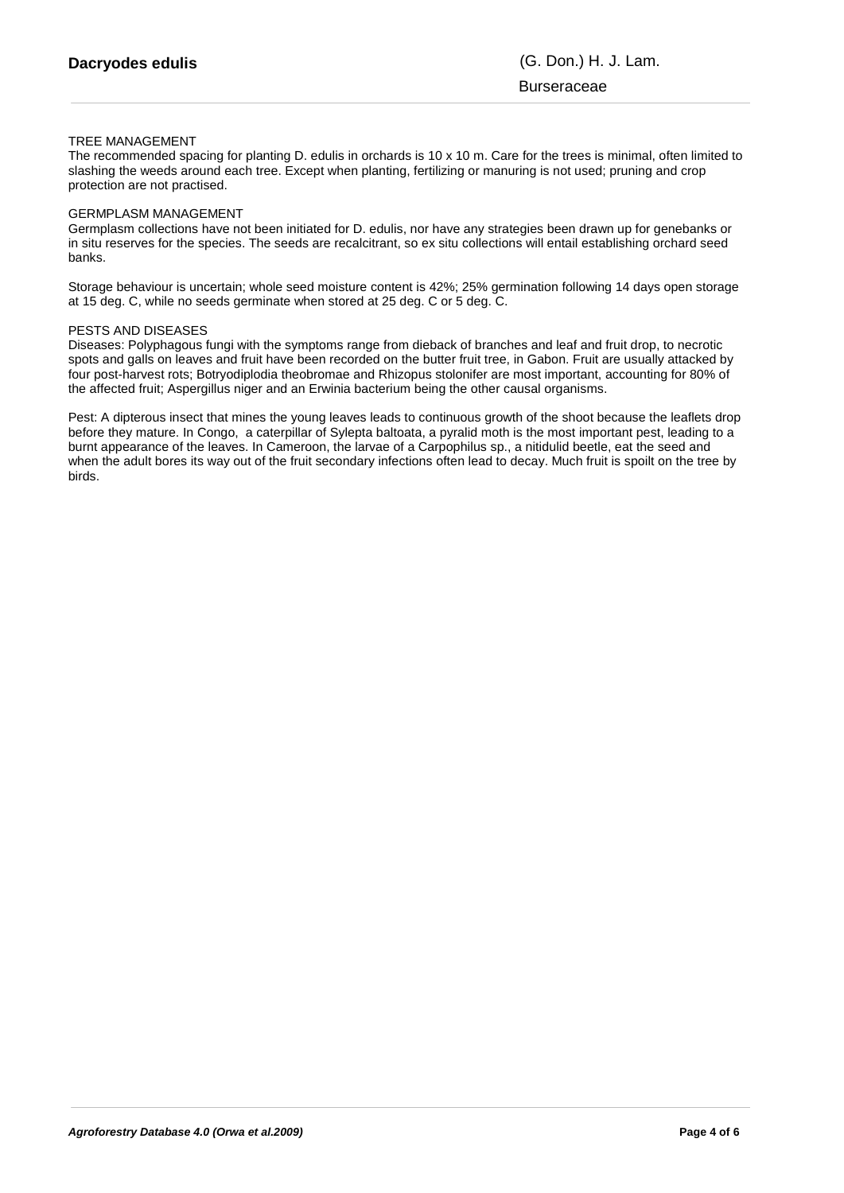#### TREE MANAGEMENT

The recommended spacing for planting D. edulis in orchards is 10 x 10 m. Care for the trees is minimal, often limited to slashing the weeds around each tree. Except when planting, fertilizing or manuring is not used; pruning and crop protection are not practised.

#### GERMPLASM MANAGEMENT

Germplasm collections have not been initiated for D. edulis, nor have any strategies been drawn up for genebanks or in situ reserves for the species. The seeds are recalcitrant, so ex situ collections will entail establishing orchard seed banks.

Storage behaviour is uncertain; whole seed moisture content is 42%; 25% germination following 14 days open storage at 15 deg. C, while no seeds germinate when stored at 25 deg. C or 5 deg. C.

#### PESTS AND DISEASES

Diseases: Polyphagous fungi with the symptoms range from dieback of branches and leaf and fruit drop, to necrotic spots and galls on leaves and fruit have been recorded on the butter fruit tree, in Gabon. Fruit are usually attacked by four post-harvest rots; Botryodiplodia theobromae and Rhizopus stolonifer are most important, accounting for 80% of the affected fruit; Aspergillus niger and an Erwinia bacterium being the other causal organisms.

Pest: A dipterous insect that mines the young leaves leads to continuous growth of the shoot because the leaflets drop before they mature. In Congo, a caterpillar of Sylepta baltoata, a pyralid moth is the most important pest, leading to a burnt appearance of the leaves. In Cameroon, the larvae of a Carpophilus sp., a nitidulid beetle, eat the seed and when the adult bores its way out of the fruit secondary infections often lead to decay. Much fruit is spoilt on the tree by birds.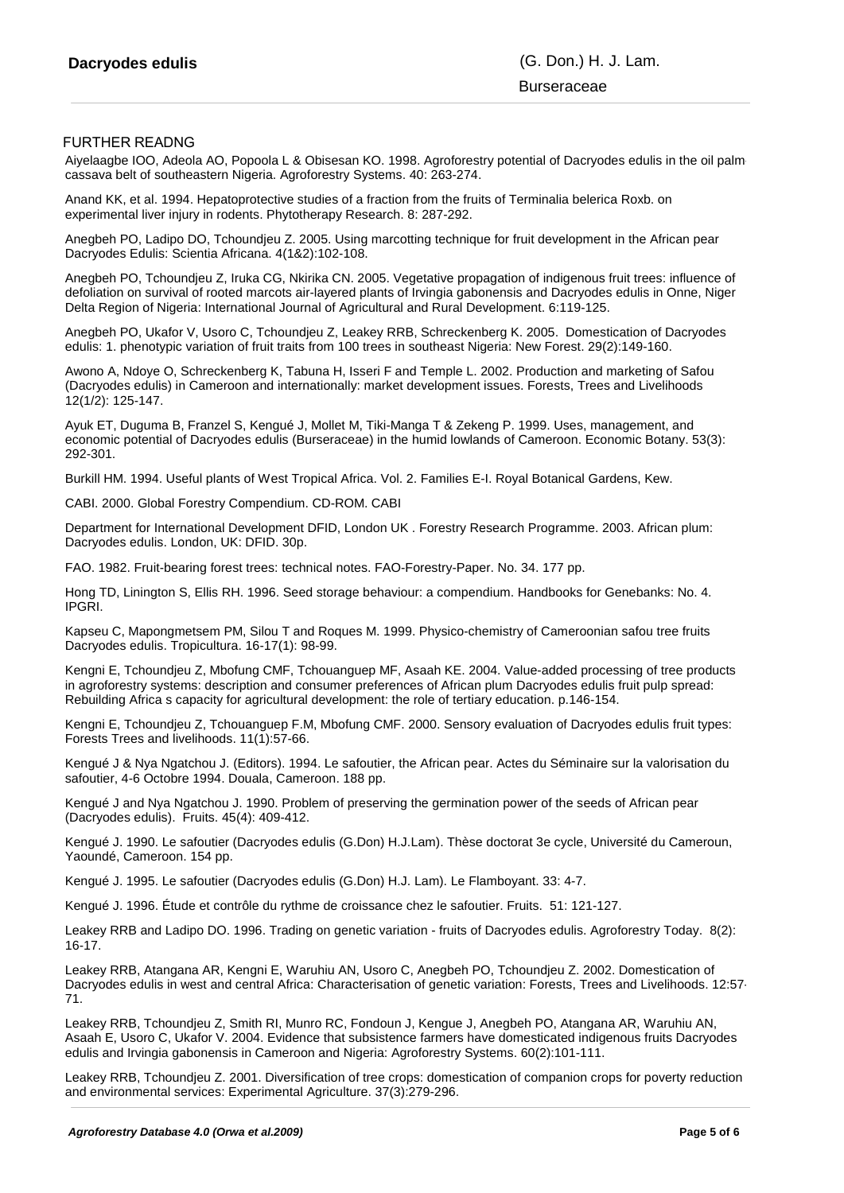# **Burseraceae**

### FURTHER READNG

Aiyelaagbe IOO, Adeola AO, Popoola L & Obisesan KO. 1998. Agroforestry potential of Dacryodes edulis in the oil palmcassava belt of southeastern Nigeria. Agroforestry Systems. 40: 263-274.

Anand KK, et al. 1994. Hepatoprotective studies of a fraction from the fruits of Terminalia belerica Roxb. on experimental liver injury in rodents. Phytotherapy Research. 8: 287-292.

Anegbeh PO, Ladipo DO, Tchoundjeu Z. 2005. Using marcotting technique for fruit development in the African pear Dacryodes Edulis: Scientia Africana. 4(1&2):102-108.

Anegbeh PO, Tchoundjeu Z, Iruka CG, Nkirika CN. 2005. Vegetative propagation of indigenous fruit trees: influence of defoliation on survival of rooted marcots air-layered plants of Irvingia gabonensis and Dacryodes edulis in Onne, Niger Delta Region of Nigeria: International Journal of Agricultural and Rural Development. 6:119-125.

Anegbeh PO, Ukafor V, Usoro C, Tchoundjeu Z, Leakey RRB, Schreckenberg K. 2005. Domestication of Dacryodes edulis: 1. phenotypic variation of fruit traits from 100 trees in southeast Nigeria: New Forest. 29(2):149-160.

Awono A, Ndoye O, Schreckenberg K, Tabuna H, Isseri F and Temple L. 2002. Production and marketing of Safou (Dacryodes edulis) in Cameroon and internationally: market development issues. Forests, Trees and Livelihoods 12(1/2): 125-147.

Ayuk ET, Duguma B, Franzel S, Kengué J, Mollet M, Tiki-Manga T & Zekeng P. 1999. Uses, management, and economic potential of Dacryodes edulis (Burseraceae) in the humid lowlands of Cameroon. Economic Botany. 53(3): 292-301.

Burkill HM. 1994. Useful plants of West Tropical Africa. Vol. 2. Families E-I. Royal Botanical Gardens, Kew.

CABI. 2000. Global Forestry Compendium. CD-ROM. CABI

Department for International Development DFID, London UK . Forestry Research Programme. 2003. African plum: Dacryodes edulis. London, UK: DFID. 30p.

FAO. 1982. Fruit-bearing forest trees: technical notes. FAO-Forestry-Paper. No. 34. 177 pp.

Hong TD, Linington S, Ellis RH. 1996. Seed storage behaviour: a compendium. Handbooks for Genebanks: No. 4. IPGRI.

Kapseu C, Mapongmetsem PM, Silou T and Roques M. 1999. Physico-chemistry of Cameroonian safou tree fruits Dacryodes edulis. Tropicultura. 16-17(1): 98-99.

Kengni E, Tchoundjeu Z, Mbofung CMF, Tchouanguep MF, Asaah KE. 2004. Value-added processing of tree products in agroforestry systems: description and consumer preferences of African plum Dacryodes edulis fruit pulp spread: Rebuilding Africa s capacity for agricultural development: the role of tertiary education. p.146-154.

Kengni E, Tchoundjeu Z, Tchouanguep F.M, Mbofung CMF. 2000. Sensory evaluation of Dacryodes edulis fruit types: Forests Trees and livelihoods. 11(1):57-66.

Kengué J & Nya Ngatchou J. (Editors). 1994. Le safoutier, the African pear. Actes du Séminaire sur la valorisation du safoutier, 4-6 Octobre 1994. Douala, Cameroon. 188 pp.

Kengué J and Nya Ngatchou J. 1990. Problem of preserving the germination power of the seeds of African pear (Dacryodes edulis). Fruits. 45(4): 409-412.

Kengué J. 1990. Le safoutier (Dacryodes edulis (G.Don) H.J.Lam). Thèse doctorat 3e cycle, Université du Cameroun, Yaoundé, Cameroon. 154 pp.

Kengué J. 1995. Le safoutier (Dacryodes edulis (G.Don) H.J. Lam). Le Flamboyant. 33: 4-7.

Kengué J. 1996. Étude et contrôle du rythme de croissance chez le safoutier. Fruits. 51: 121-127.

Leakey RRB and Ladipo DO. 1996. Trading on genetic variation - fruits of Dacryodes edulis. Agroforestry Today. 8(2): 16-17.

Leakey RRB, Atangana AR, Kengni E, Waruhiu AN, Usoro C, Anegbeh PO, Tchoundjeu Z. 2002. Domestication of Dacryodes edulis in west and central Africa: Characterisation of genetic variation: Forests, Trees and Livelihoods. 12:57- 71.

Leakey RRB, Tchoundjeu Z, Smith RI, Munro RC, Fondoun J, Kengue J, Anegbeh PO, Atangana AR, Waruhiu AN, Asaah E, Usoro C, Ukafor V. 2004. Evidence that subsistence farmers have domesticated indigenous fruits Dacryodes edulis and Irvingia gabonensis in Cameroon and Nigeria: Agroforestry Systems. 60(2):101-111.

Leakey RRB, Tchoundjeu Z. 2001. Diversification of tree crops: domestication of companion crops for poverty reduction and environmental services: Experimental Agriculture. 37(3):279-296.